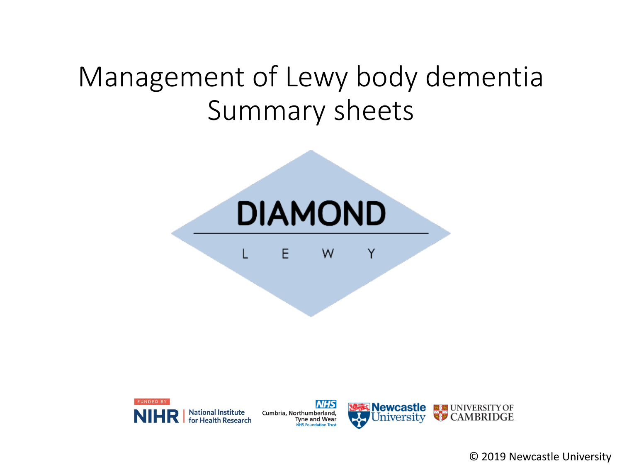# Management of Lewy body dementia Summary sheets





**NHS** Cumbria, Northumberland, **Tyne and Wear NHS Foundation Trust** 



© 2019 Newcastle University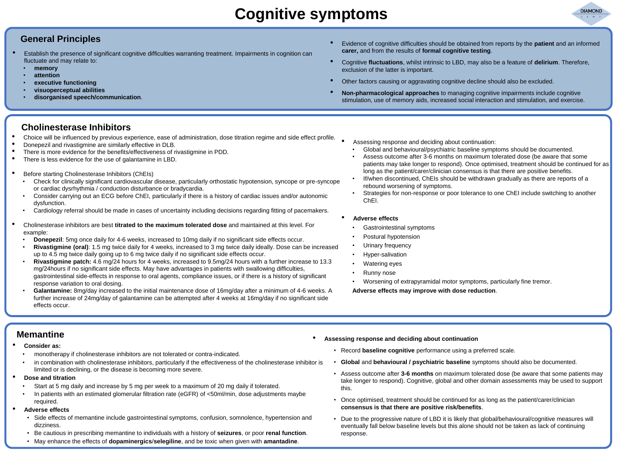## **Cognitive symptoms**



#### **General Principles**

- Establish the presence of significant cognitive difficulties warranting treatment. Impairments in cognition can fluctuate and may relate to:
	- **memory**
	- **attention**
	- **executive functioning**
	- **visuoperceptual abilities**
	- **disorganised speech/communication**.
- Evidence of cognitive difficulties should be obtained from reports by the **patient** and an informed **carer,** and from the results of **formal cognitive testing**.
- Cognitive **fluctuations**, whilst intrinsic to LBD, may also be a feature of **delirium**. Therefore, exclusion of the latter is important.
- Other factors causing or aggravating cognitive decline should also be excluded.
- **Non-pharmacological approaches** to managing cognitive impairments include cognitive stimulation, use of memory aids, increased social interaction and stimulation, and exercise.

#### **Cholinesterase Inhibitors**

- Choice will be influenced by previous experience, ease of administration, dose titration regime and side effect profile.
- Donepezil and rivastigmine are similarly effective in DLB.
- There is more evidence for the benefits/effectiveness of rivastigmine in PDD.<br>• There is less evidence for the use of galantamine in LBD
- There is less evidence for the use of galantamine in LBD.
- Before starting Cholinesterase Inhibitors (ChEIs)
	- Check for clinically significant cardiovascular disease, particularly orthostatic hypotension, syncope or pre-syncope or cardiac dysrhythmia / conduction disturbance or bradycardia.
	- Consider carrying out an ECG before ChEI, particularly if there is a history of cardiac issues and/or autonomic dysfunction.
	- Cardiology referral should be made in cases of uncertainty including decisions regarding fitting of pacemakers.
- Cholinesterase inhibitors are best **titrated to the maximum tolerated dose** and maintained at this level. For example:
	- **Donepezil:** 5mg once daily for 4-6 weeks, increased to 10mg daily if no significant side effects occur.
	- **Rivastigmine (oral)**: 1.5 mg twice daily for 4 weeks, increased to 3 mg twice daily ideally. Dose can be increased up to 4.5 mg twice daily going up to 6 mg twice daily if no significant side effects occur.
	- **Rivastigmine patch:** 4.6 mg/24 hours for 4 weeks, increased to 9.5mg/24 hours with a further increase to 13.3 mg/24hours if no significant side effects. May have advantages in patients with swallowing difficulties, gastrointestinal side-effects in response to oral agents, compliance issues, or if there is a history of significant response variation to oral dosing.
	- **Galantamine:** 8mg/day increased to the initial maintenance dose of 16mg/day after a minimum of 4-6 weeks. A further increase of 24mg/day of galantamine can be attempted after 4 weeks at 16mg/day if no significant side effects occur.
- Assessing response and deciding about continuation:
	- Global and behavioural/psychiatric baseline symptoms should be documented.
	- Assess outcome after 3-6 months on maximum tolerated dose (be aware that some patients may take longer to respond). Once optimised, treatment should be continued for as long as the patient/carer/clinician consensus is that there are positive benefits.
	- If/when discontinued, ChEIs should be withdrawn gradually as there are reports of a rebound worsening of symptoms.
	- Strategies for non-response or poor tolerance to one ChEI include switching to another ChEI.

#### • **Adverse effects**

- Gastrointestinal symptoms
- Postural hypotension
- Urinary frequency
- Hyper-salivation
- Watering eyes
- Runny nose
- Worsening of extrapyramidal motor symptoms, particularly fine tremor.

**Adverse effects may improve with dose reduction**.

#### **Memantine**

#### • **Consider as:**

- monotherapy if cholinesterase inhibitors are not tolerated or contra-indicated.
- in combination with cholinesterase inhibitors, particularly if the effectiveness of the cholinesterase inhibitor is limited or is declining, or the disease is becoming more severe.
- **Dose and titration**
	- Start at 5 mg daily and increase by 5 mg per week to a maximum of 20 mg daily if tolerated.
	- In patients with an estimated glomerular filtration rate (eGFR) of <50ml/min, dose adjustments maybe required.
- **Adverse effects**
	- Side effects of memantine include gastrointestinal symptoms, confusion, somnolence, hypertension and dizziness.
	- Be cautious in prescribing memantine to individuals with a history of **seizures**, or poor **renal function**.
	- May enhance the effects of **dopaminergics**/**selegiline**, and be toxic when given with **amantadine**.
- **Assessing response and deciding about continuation**
	- Record **baseline cognitive** performance using a preferred scale.
	- **Global** and **behavioural / psychiatric baseline** symptoms should also be documented.
	- Assess outcome after **3-6 months** on maximum tolerated dose (be aware that some patients may take longer to respond). Cognitive, global and other domain assessments may be used to support this.
	- Once optimised, treatment should be continued for as long as the patient/carer/clinician **consensus is that there are positive risk/benefits**.
	- Due to the progressive nature of LBD it is likely that global/behavioural/cognitive measures will eventually fall below baseline levels but this alone should not be taken as lack of continuing response.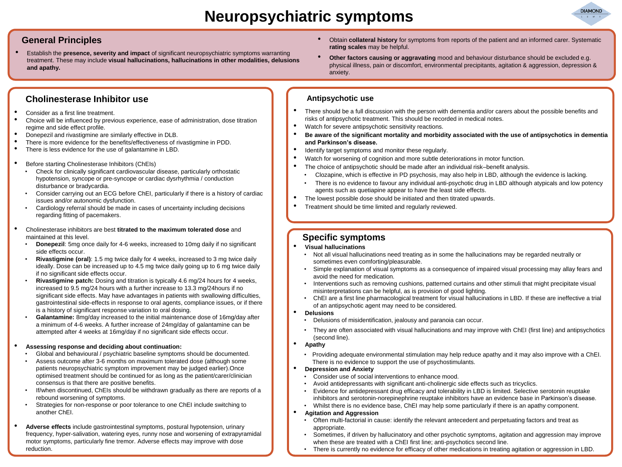### **Neuropsychiatric symptoms**



#### **General Principles**

• Establish the **presence, severity and impact** of significant neuropsychiatric symptoms warranting treatment. These may include **visual hallucinations, hallucinations in other modalities, delusions and apathy.**

#### **Cholinesterase Inhibitor use**

- Consider as a first line treatment.
- Choice will be influenced by previous experience, ease of administration, dose titration regime and side effect profile.
- Donepezil and rivastigmine are similarly effective in DLB.
- There is more evidence for the benefits/effectiveness of rivastigmine in PDD.
- There is less evidence for the use of galantamine in LBD.
- Before starting Cholinesterase Inhibitors (ChEIs)
	- Check for clinically significant cardiovascular disease, particularly orthostatic hypotension, syncope or pre-syncope or cardiac dysrhythmia / conduction disturbance or bradycardia.
	- Consider carrying out an ECG before ChEI, particularly if there is a history of cardiac issues and/or autonomic dysfunction.
	- Cardiology referral should be made in cases of uncertainty including decisions regarding fitting of pacemakers.
- Cholinesterase inhibitors are best **titrated to the maximum tolerated dose** and maintained at this level.
	- **Donepezil:** 5mg once daily for 4-6 weeks, increased to 10mg daily if no significant side effects occur.
	- **Rivastigmine (oral)**: 1.5 mg twice daily for 4 weeks, increased to 3 mg twice daily ideally. Dose can be increased up to 4.5 mg twice daily going up to 6 mg twice daily if no significant side effects occur.
	- **Rivastigmine patch:** Dosing and titration is typically 4.6 mg/24 hours for 4 weeks, increased to 9.5 mg/24 hours with a further increase to 13.3 mg/24hours if no significant side effects. May have advantages in patients with swallowing difficulties, gastrointestinal side-effects in response to oral agents, compliance issues, or if there is a history of significant response variation to oral dosing.
	- **Galantamine:** 8mg/day increased to the initial maintenance dose of 16mg/day after a minimum of 4-6 weeks. A further increase of 24mg/day of galantamine can be attempted after 4 weeks at 16mg/day if no significant side effects occur.
- **Assessing response and deciding about continuation:**
	- Global and behavioural / psychiatric baseline symptoms should be documented.
	- Assess outcome after 3-6 months on maximum tolerated dose (although some patients neuropsychiatric symptom improvement may be judged earlier).Once optimised treatment should be continued for as long as the patient/carer/clinician consensus is that there are positive benefits.
	- If/when discontinued, ChEIs should be withdrawn gradually as there are reports of a rebound worsening of symptoms.
	- Strategies for non-response or poor tolerance to one ChEI include switching to another ChEI.
- **Adverse effects** include gastrointestinal symptoms, postural hypotension, urinary frequency, hyper-salivation, watering eyes, runny nose and worsening of extrapyramidal motor symptoms, particularly fine tremor. Adverse effects may improve with dose reduction.
- Obtain **collateral history** for symptoms from reports of the patient and an informed carer. Systematic **rating scales** may be helpful.
- **Other factors causing or aggravating** mood and behaviour disturbance should be excluded e.g. physical illness, pain or discomfort, environmental precipitants, agitation & aggression, depression & anxiety.

#### **Antipsychotic use**

- There should be a full discussion with the person with dementia and/or carers about the possible benefits and risks of antipsychotic treatment. This should be recorded in medical notes.
- Watch for severe antipsychotic sensitivity reactions.
- **Be aware of the significant mortality and morbidity associated with the use of antipsychotics in dementia and Parkinson's disease.**
- Identify target symptoms and monitor these regularly.
- Watch for worsening of cognition and more subtle deteriorations in motor function.
- The choice of antipsychotic should be made after an individual risk–benefit analysis.
	- Clozapine, which is effective in PD psychosis, may also help in LBD, although the evidence is lacking.
	- There is no evidence to favour any individual anti-psychotic drug in LBD although atypicals and low potency agents such as quetiapine appear to have the least side effects.
- The lowest possible dose should be initiated and then titrated upwards.
- Treatment should be time limited and regularly reviewed.

#### **Specific symptoms**

- **Visual hallucinations**
	- Not all visual hallucinations need treating as in some the hallucinations may be regarded neutrally or sometimes even comforting/pleasurable.
	- Simple explanation of visual symptoms as a consequence of impaired visual processing may allay fears and avoid the need for medication.
	- Interventions such as removing cushions, patterned curtains and other stimuli that might precipitate visual misinterpretations can be helpful, as is provision of good lighting.
	- ChEI are a first line pharmacological treatment for visual hallucinations in LBD. If these are ineffective a trial of an antipsychotic agent may need to be considered.
- **Delusions**
	- Delusions of misidentification, jealousy and paranoia can occur.
	- They are often associated with visual hallucinations and may improve with ChEI (first line) and antipsychotics (second line).
- **Apathy**
- Providing adequate environmental stimulation may help reduce apathy and it may also improve with a ChEI. There is no evidence to support the use of psychostimulants.

#### • **Depression and Anxiety**

- Consider use of social interventions to enhance mood.
- Avoid antidepressants with significant anti-cholinergic side effects such as tricyclics.
- Evidence for antidepressant drug efficacy and tolerability in LBD is limited. Selective serotonin reuptake inhibitors and serotonin-norepinephrine reuptake inhibitors have an evidence base in Parkinson's disease.
- Whilst there is no evidence base, ChEI may help some particularly if there is an apathy component.

#### • **Agitation and Aggression**

- Often multi-factorial in cause: identify the relevant antecedent and perpetuating factors and treat as appropriate.
- Sometimes, if driven by hallucinatory and other psychotic symptoms, agitation and aggression may improve when these are treated with a ChEI first line; anti-psychotics second line.
- There is currently no evidence for efficacy of other medications in treating agitation or aggression in LBD.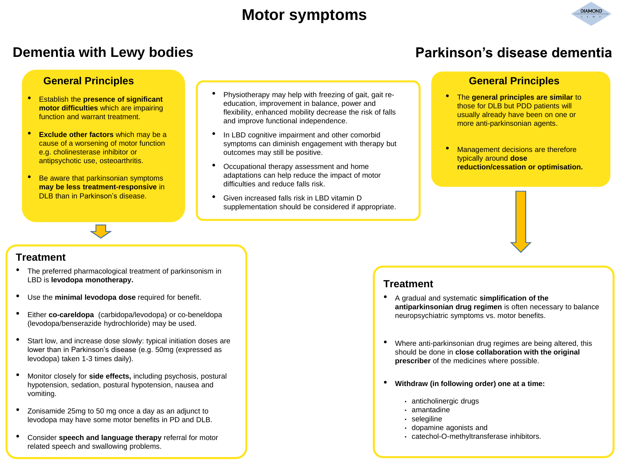### **Motor symptoms**



#### **General Principles General Principles**

- Establish the **presence of significant motor difficulties** which are impairing function and warrant treatment.
- **Exclude other factors** which may be a cause of a worsening of motor function e.g. cholinesterase inhibitor or antipsychotic use, osteoarthritis.
- Be aware that parkinsonian symptoms **may be less treatment-responsive** in DLB than in Parkinson's disease.
- Physiotherapy may help with freezing of gait, gait reeducation, improvement in balance, power and flexibility, enhanced mobility decrease the risk of falls and improve functional independence.
- In LBD cognitive impairment and other comorbid symptoms can diminish engagement with therapy but outcomes may still be positive.
- Occupational therapy assessment and home adaptations can help reduce the impact of motor difficulties and reduce falls risk.
- Given increased falls risk in LBD vitamin D supplementation should be considered if appropriate.

### **Dementia with Lewy bodies Parkinson's disease dementia**

- The **general principles are similar** to those for DLB but PDD patients will usually already have been on one or more anti-parkinsonian agents.
- Management decisions are therefore typically around **dose reduction/cessation or optimisation.**

#### **Treatment**

- The preferred pharmacological treatment of parkinsonism in LBD is **levodopa monotherapy.**
- Use the **minimal levodopa dose** required for benefit.
- Either **co-careldopa** (carbidopa/levodopa) or co-beneldopa (levodopa/benserazide hydrochloride) may be used.
- Start low, and increase dose slowly: typical initiation doses are lower than in Parkinson's disease (e.g. 50mg (expressed as levodopa) taken 1-3 times daily).
- Monitor closely for **side effects,** including psychosis, postural hypotension, sedation, postural hypotension, nausea and vomiting.
- Zonisamide 25mg to 50 mg once a day as an adjunct to levodopa may have some motor benefits in PD and DLB.
- Consider **speech and language therapy** referral for motor related speech and swallowing problems.

#### **Treatment**

- A gradual and systematic **simplification of the antiparkinsonian drug regimen** is often necessary to balance neuropsychiatric symptoms vs. motor benefits.
- Where anti-parkinsonian drug regimes are being altered, this should be done in **close collaboration with the original prescriber** of the medicines where possible.
- **Withdraw (in following order) one at a time:**
	- anticholinergic drugs
	- amantadine
	- selegiline
	- dopamine agonists and
	- catechol-O-methyltransferase inhibitors.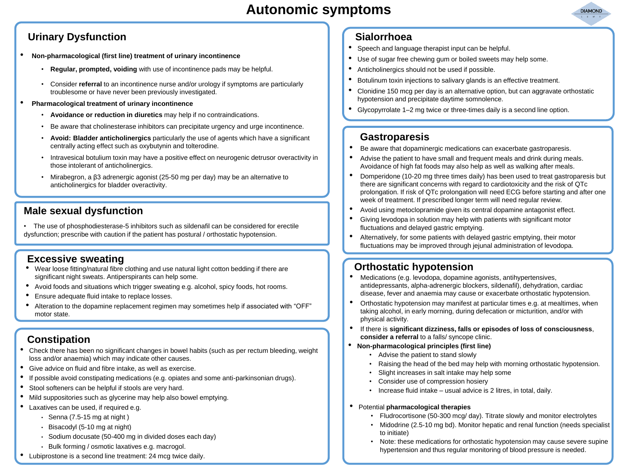

### **Urinary Dysfunction**

- **Non-pharmacological (first line) treatment of urinary incontinence** 
	- **Regular, prompted, voiding** with use of incontinence pads may be helpful.
	- Consider **referral** to an incontinence nurse and/or urology if symptoms are particularly troublesome or have never been previously investigated.
- **Pharmacological treatment of urinary incontinence**
	- **Avoidance or reduction in diuretics** may help if no contraindications.
	- Be aware that cholinesterase inhibitors can precipitate urgency and urge incontinence.
	- **Avoid: Bladder anticholinergics** particularly the use of agents which have a significant centrally acting effect such as oxybutynin and tolterodine.
	- Intravesical botulium toxin may have a positive effect on neurogenic detrusor overactivity in those intolerant of anticholinergics.
	- Mirabegron, a β3 adrenergic agonist (25-50 mg per day) may be an alternative to anticholinergics for bladder overactivity.

#### **Male sexual dysfunction**

• The use of phosphodiesterase-5 inhibitors such as sildenafil can be considered for erectile dysfunction; prescribe with caution if the patient has postural / orthostatic hypotension.

#### **Excessive sweating**

- Wear loose fitting/natural fibre clothing and use natural light cotton bedding if there are significant night sweats. Antiperspirants can help some.
- Avoid foods and situations which trigger sweating e.g. alcohol, spicy foods, hot rooms.
- Ensure adequate fluid intake to replace losses.
- Alteration to the dopamine replacement regimen may sometimes help if associated with "OFF" motor state.

#### **Constipation**

- Check there has been no significant changes in bowel habits (such as per rectum bleeding, weight loss and/or anaemia) which may indicate other causes.
- Give advice on fluid and fibre intake, as well as exercise.
- If possible avoid constipating medications (e.g. opiates and some anti-parkinsonian drugs).
- Stool softeners can be helpful if stools are very hard.
- Mild suppositories such as glycerine may help also bowel emptying.
- Laxatives can be used, if required e.g.
	- $\cdot$  Senna (7.5-15 mg at night)
	- Bisacodyl (5-10 mg at night)
	- Sodium docusate (50-400 mg in divided doses each day)
	- Bulk forming / osmotic laxatives e.g. macrogol.
- Lubiprostone is a second line treatment: 24 mcg twice daily.

#### **Sialorrhoea**

- Speech and language therapist input can be helpful.
- Use of sugar free chewing gum or boiled sweets may help some.
- Anticholinergics should not be used if possible.
- Botulinum toxin injections to salivary glands is an effective treatment.
- Clonidine 150 mcg per day is an alternative option, but can aggravate orthostatic hypotension and precipitate daytime somnolence.
- Glycopyrrolate 1–2 mg twice or three-times daily is a second line option.

#### **Gastroparesis**

- Be aware that dopaminergic medications can exacerbate gastroparesis.
- Advise the patient to have small and frequent meals and drink during meals. Avoidance of high fat foods may also help as well as walking after meals.
- Domperidone (10-20 mg three times daily) has been used to treat gastroparesis but there are significant concerns with regard to cardiotoxicity and the risk of QTc prolongation. If risk of QTc prolongation will need ECG before starting and after one week of treatment. If prescribed longer term will need regular review.
- Avoid using metoclopramide given its central dopamine antagonist effect.
- Giving levodopa in solution may help with patients with significant motor fluctuations and delayed gastric emptying.
- Alternatively, for some patients with delayed gastric emptying, their motor fluctuations may be improved through jejunal administration of levodopa.

### **Orthostatic hypotension**

- Medications (e.g. levodopa, dopamine agonists, antihypertensives, antidepressants, alpha-adrenergic blockers, sildenafil), dehydration, cardiac disease, fever and anaemia may cause or exacerbate orthostatic hypotension.
- Orthostatic hypotension may manifest at particular times e.g. at mealtimes, when taking alcohol, in early morning, during defecation or micturition, and/or with physical activity.
- If there is **significant dizziness, falls or episodes of loss of consciousness**, **consider a referral** to a falls/ syncope clinic.
- **Non-pharmacological principles (first line)**
	- Advise the patient to stand slowly
	- Raising the head of the bed may help with morning orthostatic hypotension.
	- Slight increases in salt intake may help some
	- Consider use of compression hosiery
	- Increase fluid intake usual advice is 2 litres, in total, daily.
- Potential **pharmacological therapies**
	- Fludrocortisone (50-300 mcg/ day). Titrate slowly and monitor electrolytes
	- Midodrine (2.5-10 mg bd). Monitor hepatic and renal function (needs specialist to initiate)
	- Note: these medications for orthostatic hypotension may cause severe supine hypertension and thus regular monitoring of blood pressure is needed.